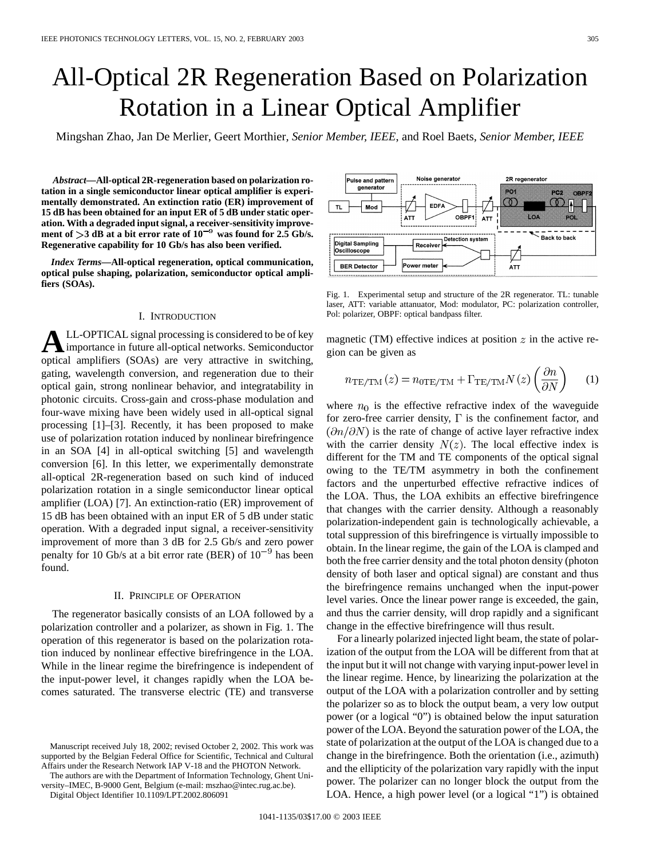# All-Optical 2R Regeneration Based on Polarization Rotation in a Linear Optical Amplifier

Mingshan Zhao, Jan De Merlier, Geert Morthier*, Senior Member, IEEE*, and Roel Baets*, Senior Member, IEEE*

*Abstract—***All-optical 2R-regeneration based on polarization rotation in a single semiconductor linear optical amplifier is experimentally demonstrated. An extinction ratio (ER) improvement of 15 dB has been obtained for an input ER of 5 dB under static operation. With a degraded input signal, a receiver-sensitivity improve**ment of  $>$ 3 dB at a bit error rate of  $10^{-9}$  was found for 2.5 Gb/s. **Regenerative capability for 10 Gb/s has also been verified.**

*Index Terms—***All-optical regeneration, optical communication, optical pulse shaping, polarization, semiconductor optical amplifiers (SOAs).**

### I. INTRODUCTION

**A**LL-OPTICAL signal processing is considered to be of key importance in future all-optical networks. Semiconductor optical amplifiers (SOAs) are very attractive in switching, gating, wavelength conversion, and regeneration due to their optical gain, strong nonlinear behavior, and integratability in photonic circuits. Cross-gain and cross-phase modulation and four-wave mixing have been widely used in all-optical signal processing [1]–[3]. Recently, it has been proposed to make use of polarization rotation induced by nonlinear birefringence in an SOA [4] in all-optical switching [5] and wavelength conversion [6]. In this letter, we experimentally demonstrate all-optical 2R-regeneration based on such kind of induced polarization rotation in a single semiconductor linear optical amplifier (LOA) [7]. An extinction-ratio (ER) improvement of 15 dB has been obtained with an input ER of 5 dB under static operation. With a degraded input signal, a receiver-sensitivity improvement of more than 3 dB for 2.5 Gb/s and zero power penalty for 10 Gb/s at a bit error rate (BER) of  $10^{-9}$  has been found.

## II. PRINCIPLE OF OPERATION

The regenerator basically consists of an LOA followed by a polarization controller and a polarizer, as shown in Fig. 1. The operation of this regenerator is based on the polarization rotation induced by nonlinear effective birefringence in the LOA. While in the linear regime the birefringence is independent of the input-power level, it changes rapidly when the LOA becomes saturated. The transverse electric (TE) and transverse

The authors are with the Department of Information Technology, Ghent University–IMEC, B-9000 Gent, Belgium (e-mail: mszhao@intec.rug.ac.be).

Digital Object Identifier 10.1109/LPT.2002.806091

Noise generator 2R regenerator Pulse and pattern generator PO<sup>4</sup> PC<sub>2</sub>  $\infty$ EDF/ Mod **ATT** OBPF<sup></sup> **ATT** Back to back **Detection system Digital Sampling** Receiver Oscilloscope Power meter **BER Detector** ÁTT

Fig. 1. Experimental setup and structure of the 2R regenerator. TL: tunable laser, ATT: variable attanuator, Mod: modulator, PC: polarization controller, Pol: polarizer, OBPF: optical bandpass filter.

magnetic (TM) effective indices at position  $z$  in the active region can be given as

$$
n_{\text{TE/TM}}(z) = n_{0\text{TE/TM}} + \Gamma_{\text{TE/TM}} N(z) \left(\frac{\partial n}{\partial N}\right) \tag{1}
$$

where  $n_0$  is the effective refractive index of the waveguide for zero-free carrier density,  $\Gamma$  is the confinement factor, and  $\left(\frac{\partial n}{\partial N}\right)$  is the rate of change of active layer refractive index with the carrier density  $N(z)$ . The local effective index is different for the TM and TE components of the optical signal owing to the TE/TM asymmetry in both the confinement factors and the unperturbed effective refractive indices of the LOA. Thus, the LOA exhibits an effective birefringence that changes with the carrier density. Although a reasonably polarization-independent gain is technologically achievable, a total suppression of this birefringence is virtually impossible to obtain. In the linear regime, the gain of the LOA is clamped and both the free carrier density and the total photon density (photon density of both laser and optical signal) are constant and thus the birefringence remains unchanged when the input-power level varies. Once the linear power range is exceeded, the gain, and thus the carrier density, will drop rapidly and a significant change in the effective birefringence will thus result.

For a linearly polarized injected light beam, the state of polarization of the output from the LOA will be different from that at the input but it will not change with varying input-power level in the linear regime. Hence, by linearizing the polarization at the output of the LOA with a polarization controller and by setting the polarizer so as to block the output beam, a very low output power (or a logical "0") is obtained below the input saturation power of the LOA. Beyond the saturation power of the LOA, the state of polarization at the output of the LOA is changed due to a change in the birefringence. Both the orientation (i.e., azimuth) and the ellipticity of the polarization vary rapidly with the input power. The polarizer can no longer block the output from the LOA. Hence, a high power level (or a logical "1") is obtained



Manuscript received July 18, 2002; revised October 2, 2002. This work was supported by the Belgian Federal Office for Scientific, Technical and Cultural Affairs under the Research Network IAP V-18 and the PHOTON Network.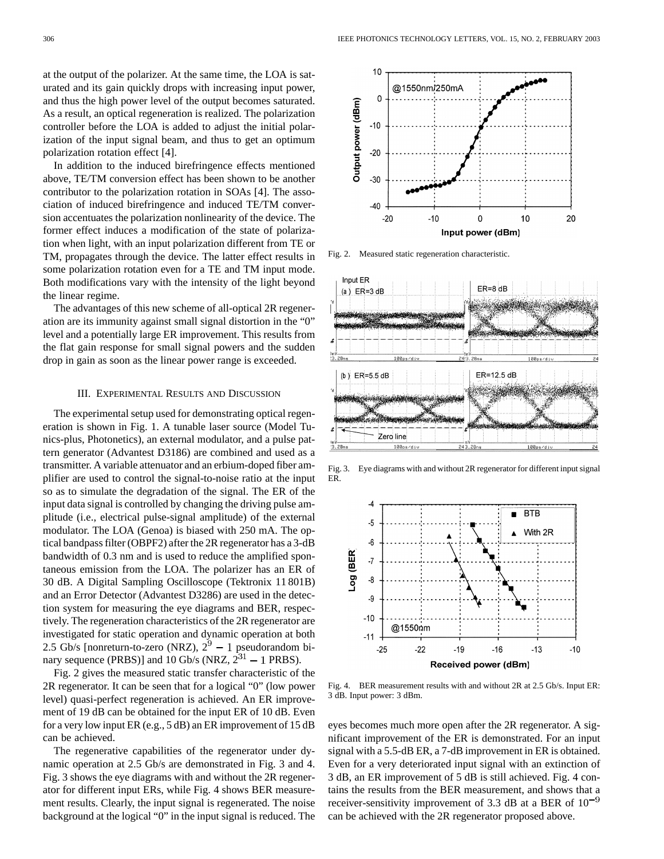at the output of the polarizer. At the same time, the LOA is saturated and its gain quickly drops with increasing input power, and thus the high power level of the output becomes saturated. As a result, an optical regeneration is realized. The polarization controller before the LOA is added to adjust the initial polarization of the input signal beam, and thus to get an optimum polarization rotation effect [4].

In addition to the induced birefringence effects mentioned above, TE/TM conversion effect has been shown to be another contributor to the polarization rotation in SOAs [4]. The association of induced birefringence and induced TE/TM conversion accentuates the polarization nonlinearity of the device. The former effect induces a modification of the state of polarization when light, with an input polarization different from TE or TM, propagates through the device. The latter effect results in some polarization rotation even for a TE and TM input mode. Both modifications vary with the intensity of the light beyond the linear regime.

The advantages of this new scheme of all-optical 2R regeneration are its immunity against small signal distortion in the "0" level and a potentially large ER improvement. This results from the flat gain response for small signal powers and the sudden drop in gain as soon as the linear power range is exceeded.

#### III. EXPERIMENTAL RESULTS AND DISCUSSION

The experimental setup used for demonstrating optical regeneration is shown in Fig. 1. A tunable laser source (Model Tunics-plus, Photonetics), an external modulator, and a pulse pattern generator (Advantest D3186) are combined and used as a transmitter. A variable attenuator and an erbium-doped fiber amplifier are used to control the signal-to-noise ratio at the input so as to simulate the degradation of the signal. The ER of the input data signal is controlled by changing the driving pulse amplitude (i.e., electrical pulse-signal amplitude) of the external modulator. The LOA (Genoa) is biased with 250 mA. The optical bandpass filter (OBPF2) after the 2R regenerator has a 3-dB bandwidth of 0.3 nm and is used to reduce the amplified spontaneous emission from the LOA. The polarizer has an ER of 30 dB. A Digital Sampling Oscilloscope (Tektronix 11 801B) and an Error Detector (Advantest D3286) are used in the detection system for measuring the eye diagrams and BER, respectively. The regeneration characteristics of the 2R regenerator are investigated for static operation and dynamic operation at both 2.5 Gb/s [nonreturn-to-zero (NRZ),  $2^9 - 1$  pseudorandom binary sequence (PRBS)] and 10 Gb/s (NRZ,  $2^{31} - 1$  PRBS).

Fig. 2 gives the measured static transfer characteristic of the 2R regenerator. It can be seen that for a logical "0" (low power level) quasi-perfect regeneration is achieved. An ER improvement of 19 dB can be obtained for the input ER of 10 dB. Even for a very low input ER (e.g., 5 dB) an ER improvement of 15 dB can be achieved.

The regenerative capabilities of the regenerator under dynamic operation at 2.5 Gb/s are demonstrated in Fig. 3 and 4. Fig. 3 shows the eye diagrams with and without the 2R regenerator for different input ERs, while Fig. 4 shows BER measurement results. Clearly, the input signal is regenerated. The noise background at the logical "0" in the input signal is reduced. The



Fig. 2. Measured static regeneration characteristic.



Fig. 3. Eye diagrams with and without 2R regenerator for different input signal ER.



Fig. 4. BER measurement results with and without 2R at 2.5 Gb/s. Input ER: 3 dB. Input power: 3 dBm.

eyes becomes much more open after the 2R regenerator. A significant improvement of the ER is demonstrated. For an input signal with a 5.5-dB ER, a 7-dB improvement in ER is obtained. Even for a very deteriorated input signal with an extinction of 3 dB, an ER improvement of 5 dB is still achieved. Fig. 4 contains the results from the BER measurement, and shows that a receiver-sensitivity improvement of 3.3 dB at a BER of  $10^{-9}$ can be achieved with the 2R regenerator proposed above.